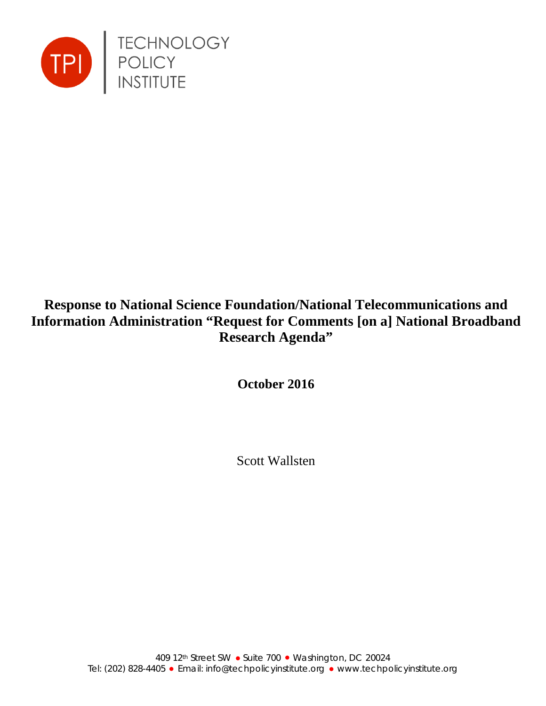

# **Response to National Science Foundation/National Telecommunications and Information Administration "Request for Comments [on a] National Broadband Research Agenda"**

**October 2016**

Scott Wallsten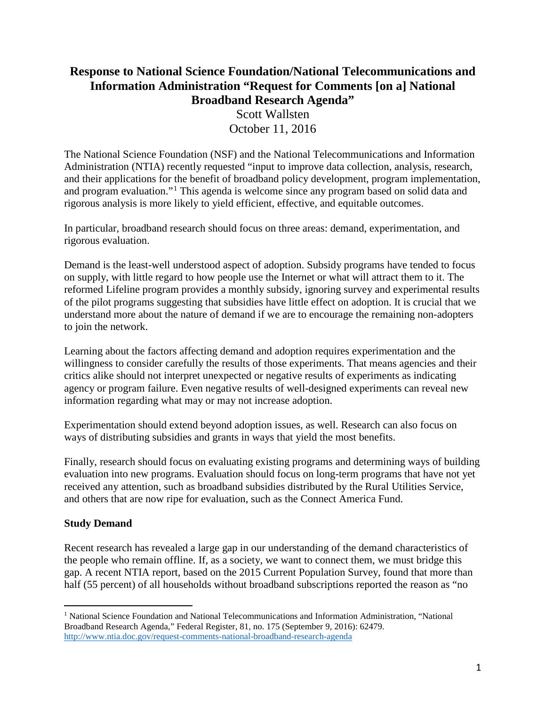## **Response to National Science Foundation/National Telecommunications and Information Administration "Request for Comments [on a] National Broadband Research Agenda"** Scott Wallsten October 11, 2016

The National Science Foundation (NSF) and the National Telecommunications and Information Administration (NTIA) recently requested "input to improve data collection, analysis, research, and their applications for the benefit of broadband policy development, program implementation, and program evaluation."[1](#page-1-0) This agenda is welcome since any program based on solid data and rigorous analysis is more likely to yield efficient, effective, and equitable outcomes.

In particular, broadband research should focus on three areas: demand, experimentation, and rigorous evaluation.

Demand is the least-well understood aspect of adoption. Subsidy programs have tended to focus on supply, with little regard to how people use the Internet or what will attract them to it. The reformed Lifeline program provides a monthly subsidy, ignoring survey and experimental results of the pilot programs suggesting that subsidies have little effect on adoption. It is crucial that we understand more about the nature of demand if we are to encourage the remaining non-adopters to join the network.

Learning about the factors affecting demand and adoption requires experimentation and the willingness to consider carefully the results of those experiments. That means agencies and their critics alike should not interpret unexpected or negative results of experiments as indicating agency or program failure. Even negative results of well-designed experiments can reveal new information regarding what may or may not increase adoption.

Experimentation should extend beyond adoption issues, as well. Research can also focus on ways of distributing subsidies and grants in ways that yield the most benefits.

Finally, research should focus on evaluating existing programs and determining ways of building evaluation into new programs. Evaluation should focus on long-term programs that have not yet received any attention, such as broadband subsidies distributed by the Rural Utilities Service, and others that are now ripe for evaluation, such as the Connect America Fund.

#### **Study Demand**

Recent research has revealed a large gap in our understanding of the demand characteristics of the people who remain offline. If, as a society, we want to connect them, we must bridge this gap. A recent NTIA report, based on the 2015 Current Population Survey, found that more than half (55 percent) of all households without broadband subscriptions reported the reason as "no

<span id="page-1-0"></span><sup>&</sup>lt;sup>1</sup> National Science Foundation and National Telecommunications and Information Administration, "National Broadband Research Agenda," Federal Register, 81, no. 175 (September 9, 2016): 62479. <http://www.ntia.doc.gov/request-comments-national-broadband-research-agenda>  $\overline{a}$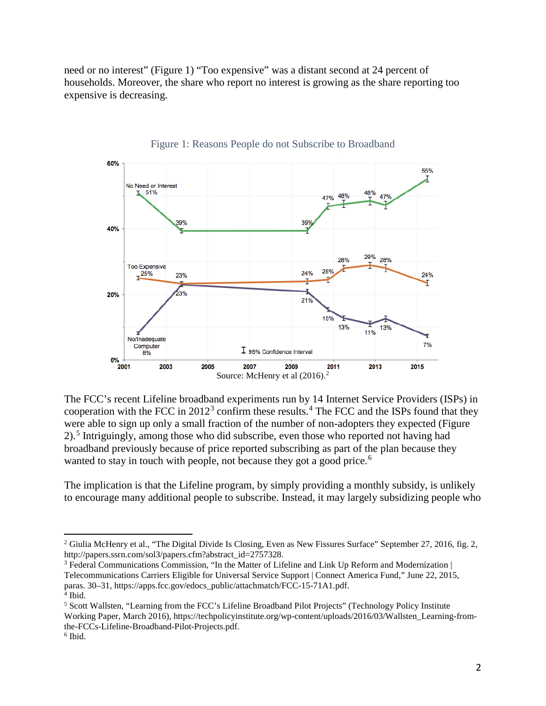need or no interest" [\(Figure 1\)](#page-2-0) "Too expensive" was a distant second at 24 percent of households. Moreover, the share who report no interest is growing as the share reporting too expensive is decreasing.

<span id="page-2-0"></span>

Figure 1: Reasons People do not Subscribe to Broadband

The FCC's recent Lifeline broadband experiments run by 14 Internet Service Providers (ISPs) in cooperation with the FCC in  $2012<sup>3</sup>$  $2012<sup>3</sup>$  $2012<sup>3</sup>$  confirm these results.<sup>[4](#page-2-3)</sup> The FCC and the ISPs found that they were able to sign up only a small fraction of the number of non-adopters they expected [\(Figure](#page-3-0)  [2\)](#page-3-0).[5](#page-2-4) Intriguingly, among those who did subscribe, even those who reported not having had broadband previously because of price reported subscribing as part of the plan because they wanted to stay in touch with people, not because they got a good price.<sup>[6](#page-2-5)</sup>

The implication is that the Lifeline program, by simply providing a monthly subsidy, is unlikely to encourage many additional people to subscribe. Instead, it may largely subsidizing people who

<span id="page-2-2"></span><sup>3</sup> Federal Communications Commission, "In the Matter of Lifeline and Link Up Reform and Modernization | Telecommunications Carriers Eligible for Universal Service Support | Connect America Fund," June 22, 2015, paras. 30–31, https://apps.fcc.gov/edocs\_public/attachmatch/FCC-15-71A1.pdf.

 $\overline{a}$ 

<span id="page-2-1"></span><sup>&</sup>lt;sup>2</sup> Giulia McHenry et al., "The Digital Divide Is Closing, Even as New Fissures Surface" September 27, 2016, fig. 2, http://papers.ssrn.com/sol3/papers.cfm?abstract\_id=2757328.

<span id="page-2-3"></span><sup>4</sup> Ibid.

<span id="page-2-4"></span><sup>5</sup> Scott Wallsten, "Learning from the FCC's Lifeline Broadband Pilot Projects" (Technology Policy Institute Working Paper, March 2016), https://techpolicyinstitute.org/wp-content/uploads/2016/03/Wallsten\_Learning-fromthe-FCCs-Lifeline-Broadband-Pilot-Projects.pdf.

<span id="page-2-5"></span><sup>6</sup> Ibid.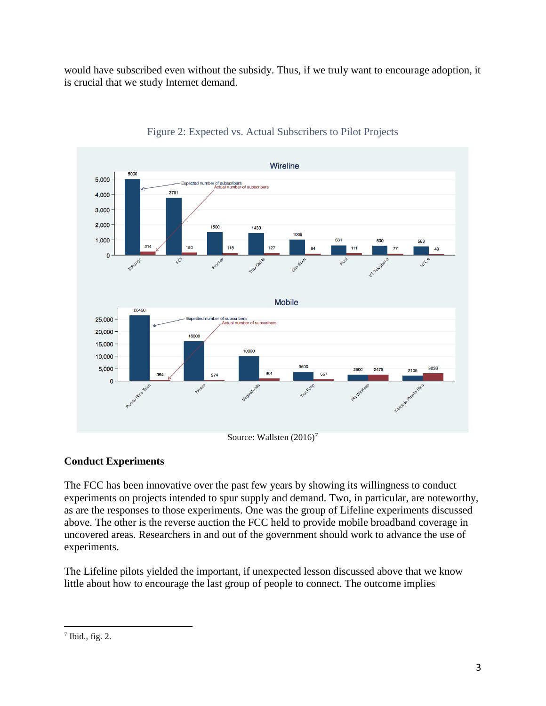would have subscribed even without the subsidy. Thus, if we truly want to encourage adoption, it is crucial that we study Internet demand.

<span id="page-3-0"></span>

#### Figure 2: Expected vs. Actual Subscribers to Pilot Projects

#### **Conduct Experiments**

The FCC has been innovative over the past few years by showing its willingness to conduct experiments on projects intended to spur supply and demand. Two, in particular, are noteworthy, as are the responses to those experiments. One was the group of Lifeline experiments discussed above. The other is the reverse auction the FCC held to provide mobile broadband coverage in uncovered areas. Researchers in and out of the government should work to advance the use of experiments.

The Lifeline pilots yielded the important, if unexpected lesson discussed above that we know little about how to encourage the last group of people to connect. The outcome implies

<span id="page-3-1"></span><sup>7</sup> Ibid., fig. 2.  $\overline{a}$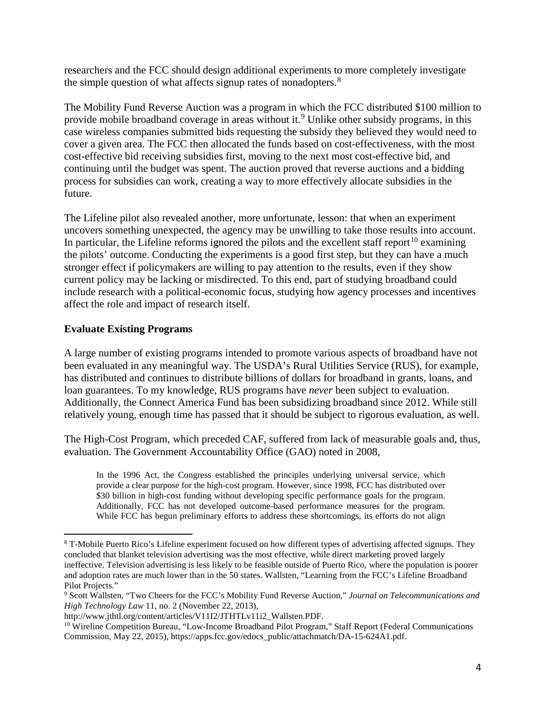researchers and the FCC should design additional experiments to more completely investigate the simple question of what affects signup rates of nonadopters.<sup>[8](#page-4-0)</sup>

The Mobility Fund Reverse Auction was a program in which the FCC distributed \$100 million to provide mobile broadband coverage in areas without it.<sup>[9](#page-4-1)</sup> Unlike other subsidy programs, in this case wireless companies submitted bids requesting the subsidy they believed they would need to cover a given area. The FCC then allocated the funds based on cost-effectiveness, with the most cost-effective bid receiving subsidies first, moving to the next most cost-effective bid, and continuing until the budget was spent. The auction proved that reverse auctions and a bidding process for subsidies can work, creating a way to more effectively allocate subsidies in the future.

The Lifeline pilot also revealed another, more unfortunate, lesson: that when an experiment uncovers something unexpected, the agency may be unwilling to take those results into account. In particular, the Lifeline reforms ignored the pilots and the excellent staff report<sup>[10](#page-4-2)</sup> examining the pilots' outcome. Conducting the experiments is a good first step, but they can have a much stronger effect if policymakers are willing to pay attention to the results, even if they show current policy may be lacking or misdirected. To this end, part of studying broadband could include research with a political-economic focus, studying how agency processes and incentives affect the role and impact of research itself.

### **Evaluate Existing Programs**

 $\overline{a}$ 

A large number of existing programs intended to promote various aspects of broadband have not been evaluated in any meaningful way. The USDA's Rural Utilities Service (RUS), for example, has distributed and continues to distribute billions of dollars for broadband in grants, loans, and loan guarantees. To my knowledge, RUS programs have *never* been subject to evaluation. Additionally, the Connect America Fund has been subsidizing broadband since 2012. While still relatively young, enough time has passed that it should be subject to rigorous evaluation, as well.

The High-Cost Program, which preceded CAF, suffered from lack of measurable goals and, thus, evaluation. The Government Accountability Office (GAO) noted in 2008,

In the 1996 Act, the Congress established the principles underlying universal service, which provide a clear purpose for the high-cost program. However, since 1998, FCC has distributed over \$30 billion in high-cost funding without developing specific performance goals for the program. Additionally, FCC has not developed outcome-based performance measures for the program. While FCC has begun preliminary efforts to address these shortcomings, its efforts do not align

<span id="page-4-0"></span><sup>8</sup> T-Mobile Puerto Rico's Lifeline experiment focused on how different types of advertising affected signups. They concluded that blanket television advertising was the most effective, while direct marketing proved largely ineffective. Television advertising is less likely to be feasible outside of Puerto Rico, where the population is poorer and adoption rates are much lower than in the 50 states. Wallsten, "Learning from the FCC's Lifeline Broadband Pilot Projects."

<span id="page-4-1"></span><sup>9</sup> Scott Wallsten, "Two Cheers for the FCC's Mobility Fund Reverse Auction," *Journal on Telecommunications and High Technology Law* 11, no. 2 (November 22, 2013),

http://www.jthtl.org/content/articles/V11I2/JTHTLv11i2\_Wallsten.PDF.

<span id="page-4-2"></span><sup>&</sup>lt;sup>10</sup> Wireline Competition Bureau, "Low-Income Broadband Pilot Program," Staff Report (Federal Communications Commission, May 22, 2015), https://apps.fcc.gov/edocs\_public/attachmatch/DA-15-624A1.pdf.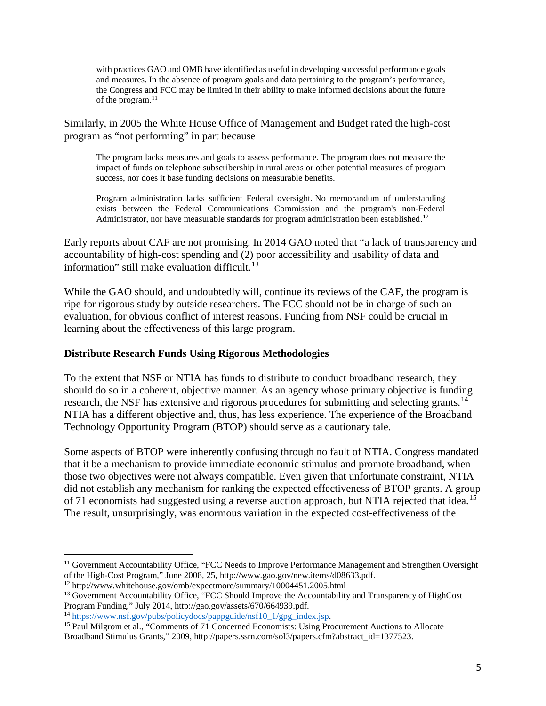with practices GAO and OMB have identified as useful in developing successful performance goals and measures. In the absence of program goals and data pertaining to the program's performance, the Congress and FCC may be limited in their ability to make informed decisions about the future of the program. [11](#page-5-0)

Similarly, in 2005 the White House Office of Management and Budget rated the high-cost program as "not performing" in part because

The program lacks measures and goals to assess performance. The program does not measure the impact of funds on telephone subscribership in rural areas or other potential measures of program success, nor does it base funding decisions on measurable benefits.

Program administration lacks sufficient Federal oversight. No memorandum of understanding exists between the Federal Communications Commission and the program's non-Federal Administrator, nor have measurable standards for program administration been established.<sup>[12](#page-5-1)</sup>

Early reports about CAF are not promising. In 2014 GAO noted that "a lack of transparency and accountability of high-cost spending and (2) poor accessibility and usability of data and information" still make evaluation difficult. $13$ 

While the GAO should, and undoubtedly will, continue its reviews of the CAF, the program is ripe for rigorous study by outside researchers. The FCC should not be in charge of such an evaluation, for obvious conflict of interest reasons. Funding from NSF could be crucial in learning about the effectiveness of this large program.

#### **Distribute Research Funds Using Rigorous Methodologies**

To the extent that NSF or NTIA has funds to distribute to conduct broadband research, they should do so in a coherent, objective manner. As an agency whose primary objective is funding research, the NSF has extensive and rigorous procedures for submitting and selecting grants.<sup>[14](#page-5-3)</sup> NTIA has a different objective and, thus, has less experience. The experience of the Broadband Technology Opportunity Program (BTOP) should serve as a cautionary tale.

Some aspects of BTOP were inherently confusing through no fault of NTIA. Congress mandated that it be a mechanism to provide immediate economic stimulus and promote broadband, when those two objectives were not always compatible. Even given that unfortunate constraint, NTIA did not establish any mechanism for ranking the expected effectiveness of BTOP grants. A group of 71 economists had suggested using a reverse auction approach, but NTIA rejected that idea.<sup>[15](#page-5-4)</sup> The result, unsurprisingly, was enormous variation in the expected cost-effectiveness of the

 $\overline{a}$ 

<span id="page-5-0"></span> $<sup>11</sup>$  Government Accountability Office, "FCC Needs to Improve Performance Management and Strengthen Oversight</sup> of the High-Cost Program," June 2008, 25, http://www.gao.gov/new.items/d08633.pdf.

<span id="page-5-1"></span><sup>12</sup> http://www.whitehouse.gov/omb/expectmore/summary/10004451.2005.html

<span id="page-5-2"></span><sup>&</sup>lt;sup>13</sup> Government Accountability Office, "FCC Should Improve the Accountability and Transparency of HighCost Program Funding," July 2014, http://gao.gov/assets/670/664939.pdf.<br><sup>14</sup> https://www.nsf.gov/pubs/policydocs/pappguide/nsf10 1/gpg index.jsp.

<span id="page-5-4"></span><span id="page-5-3"></span><sup>&</sup>lt;sup>15</sup> Paul Milgrom et al., "Comments of 71 Concerned Economists: Using Procurement Auctions to Allocate Broadband Stimulus Grants," 2009, http://papers.ssrn.com/sol3/papers.cfm?abstract\_id=1377523.